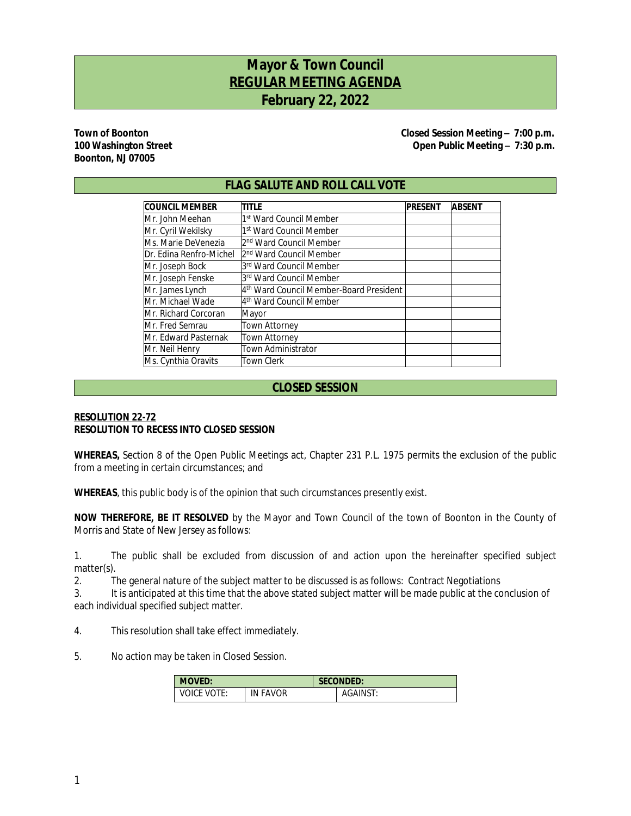# **Mayor & Town Council REGULAR MEETING AGENDA February 22, 2022**

# **Boonton, NJ 07005**

**Town of Boonton Closed Session Meeting – 7:00 p.m.** 100 Washington Street **Contract Contract Contract Contract Contract Contract Contract Open Public Meeting – 7:30 p.m.** 

# **FLAG SALUTE AND ROLL CALL VOTE**

| <b>COUNCIL MEMBER</b>   | <b>PRESENT</b>                          | <b>ABSENT</b> |  |
|-------------------------|-----------------------------------------|---------------|--|
| IMr. John Meehan        | 1st Ward Council Member                 |               |  |
| Mr. Cyril Wekilsky      | 1st Ward Council Member                 |               |  |
| Ms. Marie DeVenezia     | l2 <sup>nd</sup> Ward Council Member    |               |  |
| Dr. Edina Renfro-Michel | l2 <sup>nd</sup> Ward Council Member    |               |  |
| Mr. Joseph Bock         | 3rd Ward Council Member                 |               |  |
| Mr. Joseph Fenske       | 3rd Ward Council Member                 |               |  |
| Mr. James Lynch         | 4th Ward Council Member-Board President |               |  |
| Mr. Michael Wade        | 4 <sup>th</sup> Ward Council Member     |               |  |
| IMr. Richard Corcoran   | Mayor                                   |               |  |
| Mr. Fred Semrau         | <b>Town Attorney</b>                    |               |  |
| IMr. Edward Pasternak   | <b>Town Attorney</b>                    |               |  |
| Mr. Neil Henry          | <b>Town Administrator</b>               |               |  |
| Ms. Cynthia Oravits     | <b>Town Clerk</b>                       |               |  |

# **CLOSED SESSION**

## **RESOLUTION 22-72 RESOLUTION TO RECESS INTO CLOSED SESSION**

**WHEREAS,** Section 8 of the Open Public Meetings act, Chapter 231 P.L. 1975 permits the exclusion of the public from a meeting in certain circumstances; and

**WHEREAS**, this public body is of the opinion that such circumstances presently exist.

**NOW THEREFORE, BE IT RESOLVED** by the Mayor and Town Council of the town of Boonton in the County of Morris and State of New Jersey as follows:

1. The public shall be excluded from discussion of and action upon the hereinafter specified subject matter(s).

2. The general nature of the subject matter to be discussed is as follows: Contract Negotiations

3. It is anticipated at this time that the above stated subject matter will be made public at the conclusion of each individual specified subject matter.

4. This resolution shall take effect immediately.

5. No action may be taken in Closed Session.

| <b>MOVED:</b>    |                 | <b>SECONDED:</b> |          |  |
|------------------|-----------------|------------------|----------|--|
| VOTE:<br>VOICE ' | <b>IN FAVOR</b> |                  | AGAINST: |  |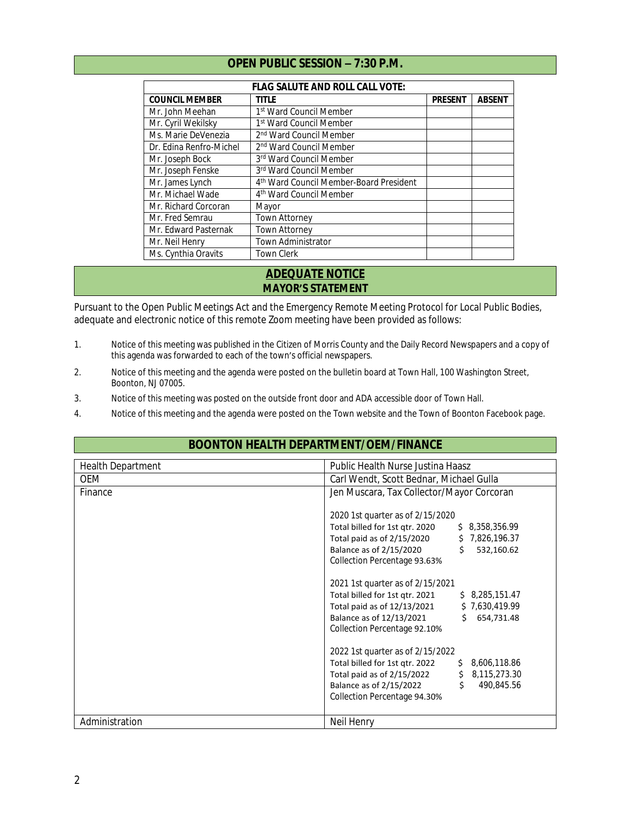# **OPEN PUBLIC SESSION – 7:30 P.M.**

| <b>FLAG SALUTE AND ROLL CALL VOTE:</b> |                                         |                |               |  |  |  |
|----------------------------------------|-----------------------------------------|----------------|---------------|--|--|--|
| <b>COUNCIL MEMBER</b>                  | title                                   | <b>PRESENT</b> | <b>ABSENT</b> |  |  |  |
| Mr. John Meehan                        | 1st Ward Council Member                 |                |               |  |  |  |
| Mr. Cyril Wekilsky                     | 1st Ward Council Member                 |                |               |  |  |  |
| Ms. Marie DeVenezia                    | 2 <sup>nd</sup> Ward Council Member     |                |               |  |  |  |
| Dr. Edina Renfro-Michel                | 2 <sup>nd</sup> Ward Council Member     |                |               |  |  |  |
| Mr. Joseph Bock                        | 3rd Ward Council Member                 |                |               |  |  |  |
| Mr. Joseph Fenske                      | 3rd Ward Council Member                 |                |               |  |  |  |
| Mr. James Lynch                        | 4th Ward Council Member-Board President |                |               |  |  |  |
| Mr. Michael Wade                       | 4 <sup>th</sup> Ward Council Member     |                |               |  |  |  |
| Mr. Richard Corcoran                   | Mayor                                   |                |               |  |  |  |
| Mr. Fred Semrau                        | <b>Town Attorney</b>                    |                |               |  |  |  |
| Mr. Edward Pasternak                   | Town Attorney                           |                |               |  |  |  |
| Mr. Neil Henry                         | Town Administrator                      |                |               |  |  |  |
| Ms. Cynthia Oravits                    | <b>Town Clerk</b>                       |                |               |  |  |  |

# **ADEQUATE NOTICE MAYOR'S STATEMENT**

Pursuant to the Open Public Meetings Act and the Emergency Remote Meeting Protocol for Local Public Bodies, adequate and electronic notice of this remote Zoom meeting have been provided as follows:

- 1. Notice of this meeting was published in the Citizen of Morris County and the Daily Record Newspapers and a copy of this agenda was forwarded to each of the town's official newspapers.
- 2. Notice of this meeting and the agenda were posted on the bulletin board at Town Hall, 100 Washington Street, Boonton, NJ 07005.
- 3. Notice of this meeting was posted on the outside front door and ADA accessible door of Town Hall.
- 4. Notice of this meeting and the agenda were posted on the Town website and the Town of Boonton Facebook page.

# **BOONTON HEALTH DEPARTMENT/OEM/FINANCE**

| <b>Health Department</b> | Public Health Nurse Justina Haasz                                                                                                                                                                                                                                                                                                                                                                                                                                                                                                                                                                                                                               |
|--------------------------|-----------------------------------------------------------------------------------------------------------------------------------------------------------------------------------------------------------------------------------------------------------------------------------------------------------------------------------------------------------------------------------------------------------------------------------------------------------------------------------------------------------------------------------------------------------------------------------------------------------------------------------------------------------------|
| <b>OEM</b>               | Carl Wendt, Scott Bednar, Michael Gulla                                                                                                                                                                                                                                                                                                                                                                                                                                                                                                                                                                                                                         |
| Finance                  | Jen Muscara, Tax Collector/Mayor Corcoran                                                                                                                                                                                                                                                                                                                                                                                                                                                                                                                                                                                                                       |
|                          | 2020 1st quarter as of 2/15/2020<br>Total billed for 1st qtr. 2020<br>\$8,358,356.99<br>Total paid as of 2/15/2020<br>\$7,826,196.37<br>Balance as of 2/15/2020<br>\$<br>532,160.62<br>Collection Percentage 93.63%<br>2021 1st quarter as of 2/15/2021<br>Total billed for 1st qtr. 2021<br>\$8,285,151.47<br>Total paid as of 12/13/2021<br>\$7,630,419.99<br>Balance as of 12/13/2021<br>\$654,731.48<br>Collection Percentage 92.10%<br>2022 1st quarter as of 2/15/2022<br>Total billed for 1st qtr. 2022<br>\$8,606,118.86<br>Total paid as of 2/15/2022<br>\$8,115,273.30<br>\$<br>Balance as of 2/15/2022<br>490,845.56<br>Collection Percentage 94.30% |
| Administration           | Neil Henry                                                                                                                                                                                                                                                                                                                                                                                                                                                                                                                                                                                                                                                      |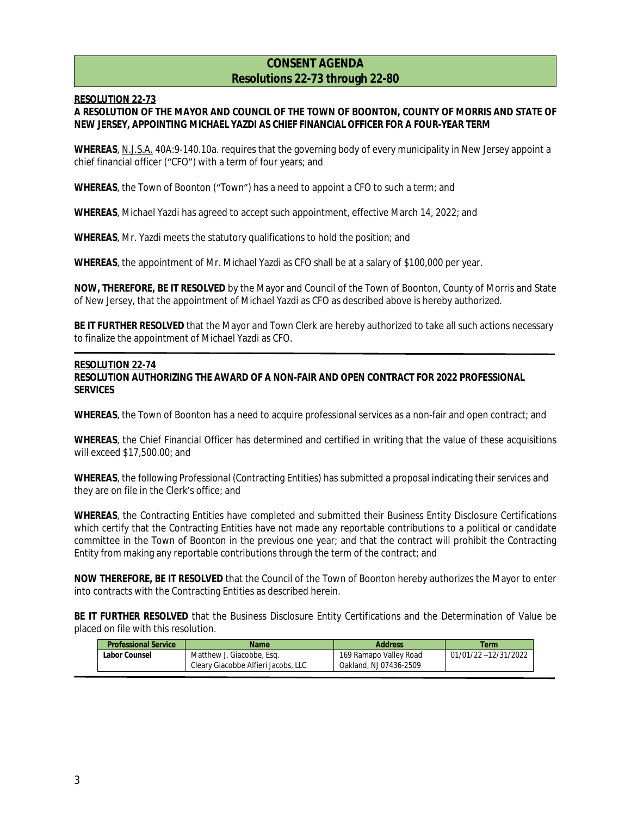# **CONSENT AGENDA Resolutions 22-73 through 22-80**

## **RESOLUTION 22-73**

## **A RESOLUTION OF THE MAYOR AND COUNCIL OF THE TOWN OF BOONTON, COUNTY OF MORRIS AND STATE OF NEW JERSEY, APPOINTING MICHAEL YAZDI AS CHIEF FINANCIAL OFFICER FOR A FOUR-YEAR TERM**

**WHEREAS**, N.J.S.A. 40A:9-140.10a. requires that the governing body of every municipality in New Jersey appoint a chief financial officer ("CFO") with a term of four years; and

**WHEREAS**, the Town of Boonton ("Town") has a need to appoint a CFO to such a term; and

**WHEREAS**, Michael Yazdi has agreed to accept such appointment, effective March 14, 2022; and

**WHEREAS**, Mr. Yazdi meets the statutory qualifications to hold the position; and

**WHEREAS**, the appointment of Mr. Michael Yazdi as CFO shall be at a salary of \$100,000 per year.

**NOW, THEREFORE, BE IT RESOLVED** by the Mayor and Council of the Town of Boonton, County of Morris and State of New Jersey, that the appointment of Michael Yazdi as CFO as described above is hereby authorized.

**BE IT FURTHER RESOLVED** that the Mayor and Town Clerk are hereby authorized to take all such actions necessary to finalize the appointment of Michael Yazdi as CFO.

#### **RESOLUTION 22-74**

## **RESOLUTION AUTHORIZING THE AWARD OF A NON-FAIR AND OPEN CONTRACT FOR 2022 PROFESSIONAL SERVICES**

**WHEREAS**, the Town of Boonton has a need to acquire professional services as a non-fair and open contract; and

**WHEREAS**, the Chief Financial Officer has determined and certified in writing that the value of these acquisitions will exceed \$17,500.00; and

**WHEREAS**, the following Professional (Contracting Entities) has submitted a proposal indicating their services and they are on file in the Clerk's office; and

**WHEREAS**, the Contracting Entities have completed and submitted their Business Entity Disclosure Certifications which certify that the Contracting Entities have not made any reportable contributions to a political or candidate committee in the Town of Boonton in the previous one year; and that the contract will prohibit the Contracting Entity from making any reportable contributions through the term of the contract; and

**NOW THEREFORE, BE IT RESOLVED** that the Council of the Town of Boonton hereby authorizes the Mayor to enter into contracts with the Contracting Entities as described herein.

**BE IT FURTHER RESOLVED** that the Business Disclosure Entity Certifications and the Determination of Value be placed on file with this resolution.

| <b>Professional Service</b>                | Name                                | <b>Address</b>         | Term                 |
|--------------------------------------------|-------------------------------------|------------------------|----------------------|
| Matthew J. Giacobbe, Esg.<br>Labor Counsel |                                     | 169 Ramapo Valley Road | 01/01/22 -12/31/2022 |
|                                            | Cleary Giacobbe Alfieri Jacobs, LLC | Oakland, NJ 07436-2509 |                      |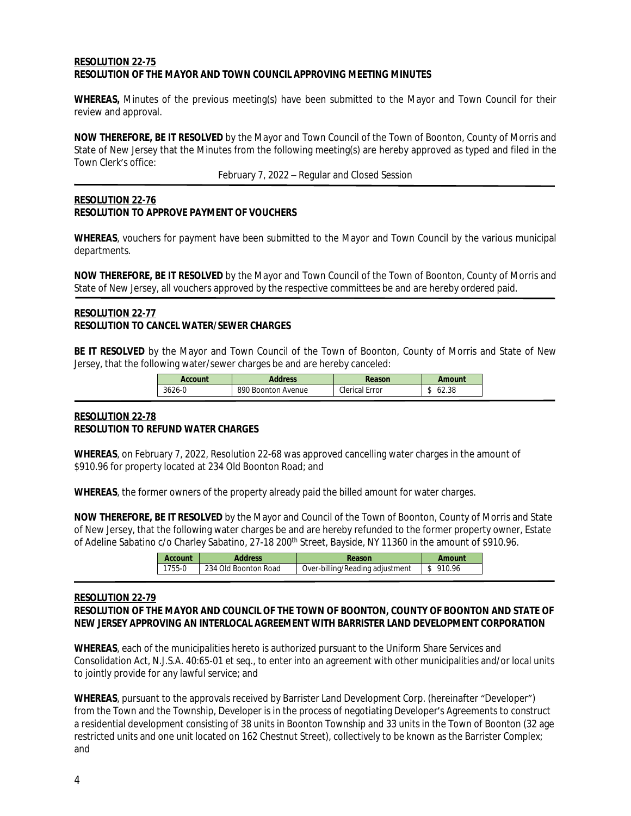## **RESOLUTION 22-75 RESOLUTION OF THE MAYOR AND TOWN COUNCIL APPROVING MEETING MINUTES**

**WHEREAS,** Minutes of the previous meeting(s) have been submitted to the Mayor and Town Council for their review and approval.

**NOW THEREFORE, BE IT RESOLVED** by the Mayor and Town Council of the Town of Boonton, County of Morris and State of New Jersey that the Minutes from the following meeting(s) are hereby approved as typed and filed in the Town Clerk's office:

February 7, 2022 – Regular and Closed Session

## **RESOLUTION 22-76 RESOLUTION TO APPROVE PAYMENT OF VOUCHERS**

**WHEREAS**, vouchers for payment have been submitted to the Mayor and Town Council by the various municipal departments.

**NOW THEREFORE, BE IT RESOLVED** by the Mayor and Town Council of the Town of Boonton, County of Morris and State of New Jersey, all vouchers approved by the respective committees be and are hereby ordered paid.

## **RESOLUTION 22-77 RESOLUTION TO CANCEL WATER/SEWER CHARGES**

**BE IT RESOLVED** by the Mayor and Town Council of the Town of Boonton, County of Morris and State of New Jersey, that the following water/sewer charges be and are hereby canceled:

| Account | <b>Address</b>     | Reason         | Amount |
|---------|--------------------|----------------|--------|
| 3626-0  | 890 Boonton Avenue | Clerical Error | 62.38  |

## **RESOLUTION 22-78 RESOLUTION TO REFUND WATER CHARGES**

**WHEREAS**, on February 7, 2022, Resolution 22-68 was approved cancelling water charges in the amount of \$910.96 for property located at 234 Old Boonton Road; and

**WHEREAS**, the former owners of the property already paid the billed amount for water charges.

**NOW THEREFORE, BE IT RESOLVED** by the Mayor and Council of the Town of Boonton, County of Morris and State of New Jersey, that the following water charges be and are hereby refunded to the former property owner, Estate of Adeline Sabatino c/o Charley Sabatino, 27-18 200th Street, Bayside, NY 11360 in the amount of \$910.96.

| Account | <b>Address</b>         | Reason                          | Amount       |
|---------|------------------------|---------------------------------|--------------|
| 1755-0  | - 234 Old Boonton Road | Over-billing/Reading adjustment | \$<br>910.96 |
|         |                        |                                 |              |

#### **RESOLUTION 22-79 RESOLUTION OF THE MAYOR AND COUNCIL OF THE TOWN OF BOONTON, COUNTY OF BOONTON AND STATE OF NEW JERSEY APPROVING AN INTERLOCAL AGREEMENT WITH BARRISTER LAND DEVELOPMENT CORPORATION**

**WHEREAS**, each of the municipalities hereto is authorized pursuant to the Uniform Share Services and Consolidation Act, *N.J.S.A.* 40:65-01 *et seq*., to enter into an agreement with other municipalities and/or local units to jointly provide for any lawful service; and

**WHEREAS**, pursuant to the approvals received by Barrister Land Development Corp. (hereinafter "Developer") from the Town and the Township, Developer is in the process of negotiating Developer's Agreements to construct a residential development consisting of 38 units in Boonton Township and 33 units in the Town of Boonton (32 age restricted units and one unit located on 162 Chestnut Street), collectively to be known as the Barrister Complex; and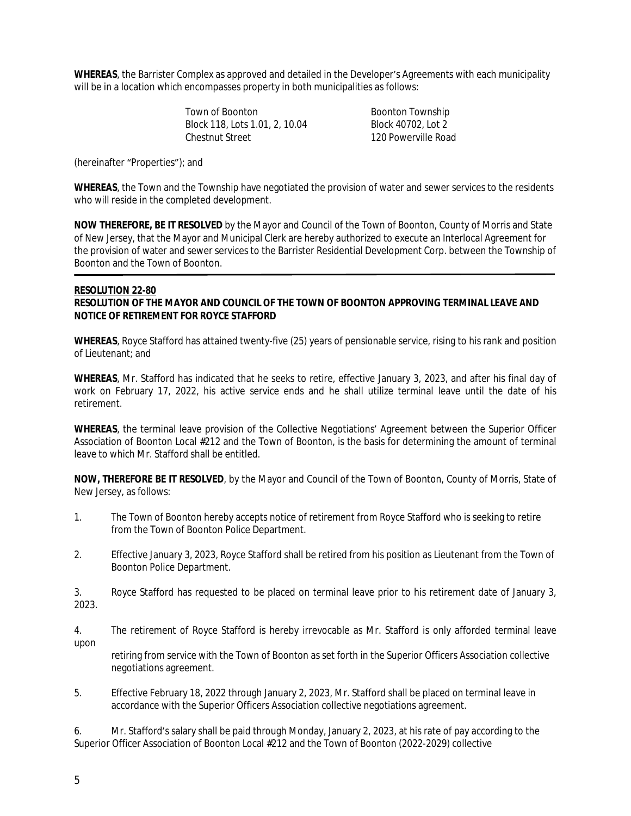**WHEREAS**, the Barrister Complex as approved and detailed in the Developer's Agreements with each municipality will be in a location which encompasses property in both municipalities as follows:

> Town of Boonton<br>Block 118. Lots 1.01. 2. 10.04 Block 40702. Lot 2 Block 118, Lots 1.01, 2, 10.04<br>Chestnut Street

120 Powerville Road

(hereinafter "Properties"); and

**WHEREAS**, the Town and the Township have negotiated the provision of water and sewer services to the residents who will reside in the completed development.

**NOW THEREFORE, BE IT RESOLVED** by the Mayor and Council of the Town of Boonton, County of Morris and State of New Jersey, that the Mayor and Municipal Clerk are hereby authorized to execute an Interlocal Agreement for the provision of water and sewer services to the Barrister Residential Development Corp. between the Township of Boonton and the Town of Boonton.

## **RESOLUTION 22-80**

## **RESOLUTION OF THE MAYOR AND COUNCIL OF THE TOWN OF BOONTON APPROVING TERMINAL LEAVE AND NOTICE OF RETIREMENT FOR ROYCE STAFFORD**

**WHEREAS**, Royce Stafford has attained twenty-five (25) years of pensionable service, rising to his rank and position of Lieutenant; and

**WHEREAS**, Mr. Stafford has indicated that he seeks to retire, effective January 3, 2023, and after his final day of work on February 17, 2022, his active service ends and he shall utilize terminal leave until the date of his retirement.

**WHEREAS**, the terminal leave provision of the Collective Negotiations' Agreement between the Superior Officer Association of Boonton Local #212 and the Town of Boonton, is the basis for determining the amount of terminal leave to which Mr. Stafford shall be entitled.

**NOW, THEREFORE BE IT RESOLVED**, by the Mayor and Council of the Town of Boonton, County of Morris, State of New Jersey, as follows:

- 1. The Town of Boonton hereby accepts notice of retirement from Royce Stafford who is seeking to retire from the Town of Boonton Police Department.
- 2. Effective January 3, 2023, Royce Stafford shall be retired from his position as Lieutenant from the Town of Boonton Police Department.

3. Royce Stafford has requested to be placed on terminal leave prior to his retirement date of January 3, 2023.

4. The retirement of Royce Stafford is hereby irrevocable as Mr. Stafford is only afforded terminal leave upon

retiring from service with the Town of Boonton as set forth in the Superior Officers Association collective negotiations agreement.

5. Effective February 18, 2022 through January 2, 2023, Mr. Stafford shall be placed on terminal leave in accordance with the Superior Officers Association collective negotiations agreement.

6. Mr. Stafford's salary shall be paid through Monday, January 2, 2023, at his rate of pay according to the Superior Officer Association of Boonton Local #212 and the Town of Boonton (2022-2029) collective

5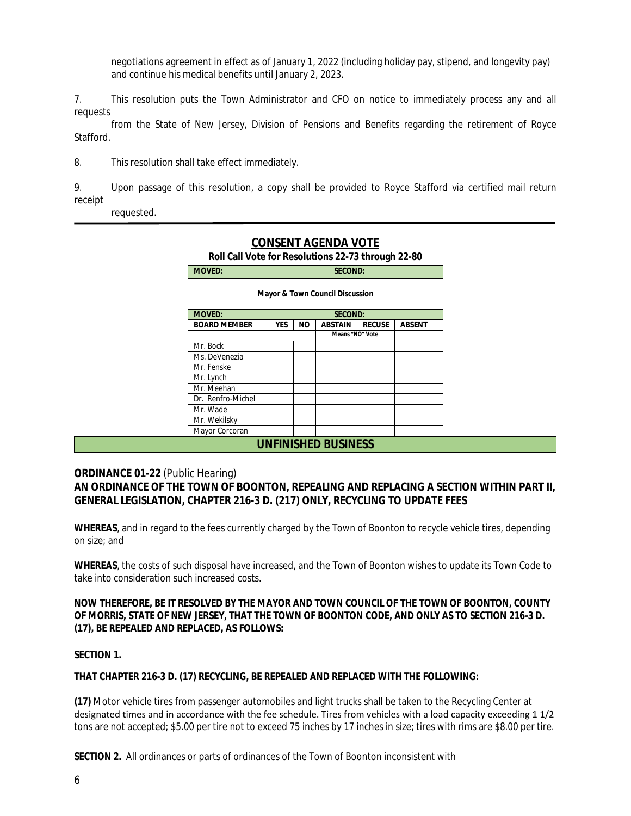negotiations agreement in effect as of January 1, 2022 (including holiday pay, stipend, and longevity pay) and continue his medical benefits until January 2, 2023.

7. This resolution puts the Town Administrator and CFO on notice to immediately process any and all requests

from the State of New Jersey, Division of Pensions and Benefits regarding the retirement of Royce Stafford.

8. This resolution shall take effect immediately.

9. Upon passage of this resolution, a copy shall be provided to Royce Stafford via certified mail return receipt

requested.

| <b>MOVED:</b>                              |            | <b>SECOND:</b> |         |                 |        |  |
|--------------------------------------------|------------|----------------|---------|-----------------|--------|--|
| <b>Mayor &amp; Town Council Discussion</b> |            |                |         |                 |        |  |
| <b>MOVED:</b><br><b>SECOND:</b>            |            |                |         |                 |        |  |
| <b>BOARD MEMBER</b>                        | <b>YES</b> | NΟ             | ABSTAIN | <b>RECUSE</b>   | ABSENT |  |
|                                            |            |                |         | Means "NO" Vote |        |  |
| Mr. Bock                                   |            |                |         |                 |        |  |
| Ms. DeVenezia                              |            |                |         |                 |        |  |
| Mr. Fenske                                 |            |                |         |                 |        |  |
| Mr. Lynch                                  |            |                |         |                 |        |  |
| Mr. Meehan                                 |            |                |         |                 |        |  |
| Dr. Renfro-Michel                          |            |                |         |                 |        |  |
| Mr. Wade                                   |            |                |         |                 |        |  |
| Mr. Wekilsky                               |            |                |         |                 |        |  |
| Mayor Corcoran                             |            |                |         |                 |        |  |

# **CONSENT AGENDA VOTE**

**Roll Call Vote for Resolutions 22-73 through 22-80**

# **ORDINANCE 01-22** (Public Hearing)

**AN ORDINANCE OF THE TOWN OF BOONTON, REPEALING AND REPLACING A SECTION WITHIN PART II, GENERAL LEGISLATION, CHAPTER 216-3 D. (217) ONLY, RECYCLING TO UPDATE FEES**

**WHEREAS**, and in regard to the fees currently charged by the Town of Boonton to recycle vehicle tires, depending on size; and

**WHEREAS**, the costs of such disposal have increased, and the Town of Boonton wishes to update its Town Code to take into consideration such increased costs.

**NOW THEREFORE, BE IT RESOLVED BY THE MAYOR AND TOWN COUNCIL OF THE TOWN OF BOONTON, COUNTY OF MORRIS, STATE OF NEW JERSEY, THAT THE TOWN OF BOONTON CODE, AND ONLY AS TO SECTION 216-3 D. (17), BE REPEALED AND REPLACED, AS FOLLOWS:** 

## **SECTION 1.**

## **THAT CHAPTER 216-3 D. (17) RECYCLING, BE REPEALED AND REPLACED WITH THE FOLLOWING:**

**(17)** Motor vehicle tires from passenger automobiles and light trucks shall be taken to the Recycling Center at designated times and in accordance with the fee schedule. Tires from vehicles with a load capacity exceeding 1 1/2 tons are not accepted; \$5.00 per tire not to exceed 75 inches by 17 inches in size; tires with rims are \$8.00 per tire.

**SECTION 2.** All ordinances or parts of ordinances of the Town of Boonton inconsistent with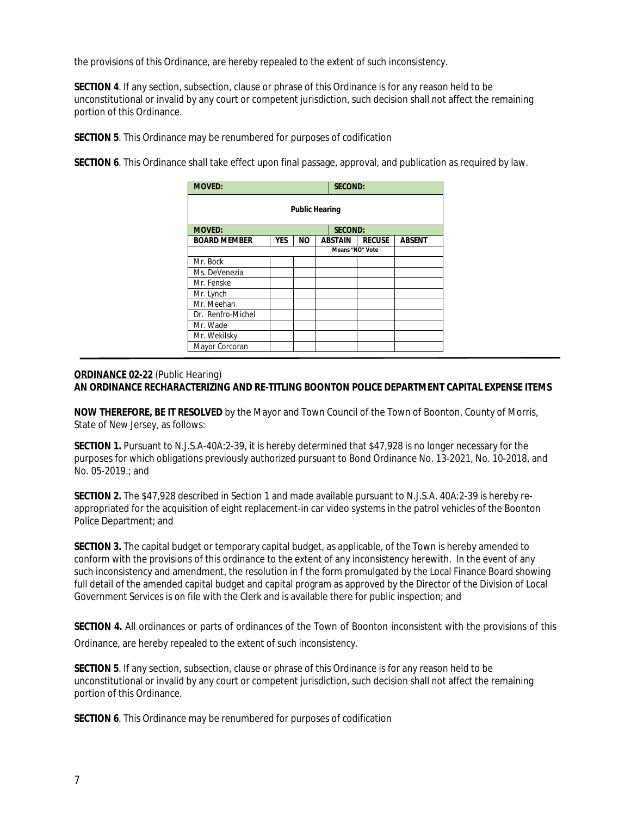the provisions of this Ordinance, are hereby repealed to the extent of such inconsistency.

**SECTION 4.** If any section, subsection, clause or phrase of this Ordinance is for any reason held to be unconstitutional or invalid by any court or competent jurisdiction, such decision shall not affect the remaining portion of this Ordinance.

**SECTION 5**. This Ordinance may be renumbered for purposes of codification

**SECTION 6**. This Ordinance shall take effect upon final passage, approval, and publication as required by law.

| <b>MOVED:</b><br><b>SECOND:</b> |            |           |  |                 |               |               |
|---------------------------------|------------|-----------|--|-----------------|---------------|---------------|
| <b>Public Hearing</b>           |            |           |  |                 |               |               |
| <b>MOVED:</b><br><b>SECOND:</b> |            |           |  |                 |               |               |
| <b>BOARD MEMBER</b>             | <b>YES</b> | <b>NO</b> |  | <b>ABSTAIN</b>  | <b>RECUSE</b> | <b>ABSENT</b> |
|                                 |            |           |  | Means "NO" Vote |               |               |
| Mr. Bock                        |            |           |  |                 |               |               |
| Ms. DeVenezia                   |            |           |  |                 |               |               |
| Mr. Fenske                      |            |           |  |                 |               |               |
| Mr. Lynch                       |            |           |  |                 |               |               |
| Mr. Meehan                      |            |           |  |                 |               |               |
| Dr. Renfro-Michel               |            |           |  |                 |               |               |
| Mr. Wade                        |            |           |  |                 |               |               |
| Mr. Wekilsky                    |            |           |  |                 |               |               |
| Mayor Corcoran                  |            |           |  |                 |               |               |

## **ORDINANCE 02-22** (Public Hearing) **AN ORDINANCE RECHARACTERIZING AND RE-TITLING BOONTON POLICE DEPARTMENT CAPITAL EXPENSE ITEMS**

**NOW THEREFORE, BE IT RESOLVED** by the Mayor and Town Council of the Town of Boonton, County of Morris, State of New Jersey, as follows:

**SECTION 1.** Pursuant to N.J.S.A-40A:2-39, it is hereby determined that \$47,928 is no longer necessary for the purposes for which obligations previously authorized pursuant to Bond Ordinance No. 13-2021, No. 10-2018, and No. 05-2019.; and

**SECTION 2.** The \$47,928 described in Section 1 and made available pursuant to N.J.S.A. 40A:2-39 is hereby reappropriated for the acquisition of eight replacement-in car video systems in the patrol vehicles of the Boonton Police Department; and

**SECTION 3.** The capital budget or temporary capital budget, as applicable, of the Town is hereby amended to conform with the provisions of this ordinance to the extent of any inconsistency herewith. In the event of any such inconsistency and amendment, the resolution in f the form promulgated by the Local Finance Board showing full detail of the amended capital budget and capital program as approved by the Director of the Division of Local Government Services is on file with the Clerk and is available there for public inspection; and

**SECTION 4.** All ordinances or parts of ordinances of the Town of Boonton inconsistent with the provisions of this Ordinance, are hereby repealed to the extent of such inconsistency.

**SECTION 5**. If any section, subsection, clause or phrase of this Ordinance is for any reason held to be unconstitutional or invalid by any court or competent jurisdiction, such decision shall not affect the remaining portion of this Ordinance.

**SECTION 6**. This Ordinance may be renumbered for purposes of codification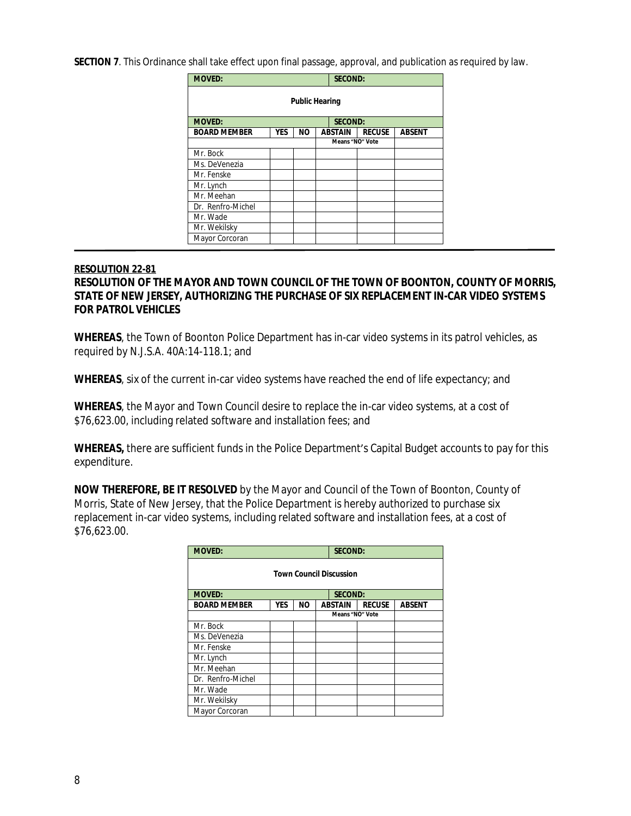**SECTION 7**. This Ordinance shall take effect upon final passage, approval, and publication as required by law.

| <b>MOVED:</b>         |            |           |  | <b>SECOND:</b>  |               |               |
|-----------------------|------------|-----------|--|-----------------|---------------|---------------|
| <b>Public Hearing</b> |            |           |  |                 |               |               |
| <b>MOVED:</b>         |            |           |  | <b>SECOND:</b>  |               |               |
| <b>BOARD MEMBER</b>   | <b>YES</b> | <b>NO</b> |  | <b>ABSTAIN</b>  | <b>RECUSE</b> | <b>ABSENT</b> |
|                       |            |           |  | Means "NO" Vote |               |               |
| Mr. Bock              |            |           |  |                 |               |               |
| Ms. DeVenezia         |            |           |  |                 |               |               |
| Mr. Fenske            |            |           |  |                 |               |               |
| Mr. Lynch             |            |           |  |                 |               |               |
| Mr. Meehan            |            |           |  |                 |               |               |
| Dr. Renfro-Michel     |            |           |  |                 |               |               |
| Mr. Wade              |            |           |  |                 |               |               |
| Mr. Wekilsky          |            |           |  |                 |               |               |
| Mayor Corcoran        |            |           |  |                 |               |               |

## **RESOLUTION 22-81**

# **RESOLUTION OF THE MAYOR AND TOWN COUNCIL OF THE TOWN OF BOONTON, COUNTY OF MORRIS, STATE OF NEW JERSEY, AUTHORIZING THE PURCHASE OF SIX REPLACEMENT IN-CAR VIDEO SYSTEMS FOR PATROL VEHICLES**

**WHEREAS**, the Town of Boonton Police Department has in-car video systems in its patrol vehicles, as required by N.J.S.A. 40A:14-118.1; and

WHEREAS, six of the current in-car video systems have reached the end of life expectancy; and

**WHEREAS**, the Mayor and Town Council desire to replace the in-car video systems, at a cost of \$76,623.00, including related software and installation fees; and

**WHEREAS,** there are sufficient funds in the Police Department's Capital Budget accounts to pay for this expenditure.

**NOW THEREFORE, BE IT RESOLVED** by the Mayor and Council of the Town of Boonton, County of Morris, State of New Jersey, that the Police Department is hereby authorized to purchase six replacement in-car video systems, including related software and installation fees, at a cost of \$76,623.00.

| <b>MOVED:</b>                  |            |           |  | <b>SECOND:</b>  |               |               |
|--------------------------------|------------|-----------|--|-----------------|---------------|---------------|
| <b>Town Council Discussion</b> |            |           |  |                 |               |               |
| <b>MOVED:</b>                  |            |           |  | <b>SECOND:</b>  |               |               |
| <b>BOARD MEMBER</b>            | <b>YES</b> | <b>NO</b> |  | <b>ABSTAIN</b>  | <b>RECUSE</b> | <b>ABSENT</b> |
|                                |            |           |  | Means "NO" Vote |               |               |
| Mr. Bock                       |            |           |  |                 |               |               |
| Ms. DeVenezia                  |            |           |  |                 |               |               |
| Mr. Fenske                     |            |           |  |                 |               |               |
| Mr. Lynch                      |            |           |  |                 |               |               |
| Mr. Meehan                     |            |           |  |                 |               |               |
| Dr. Renfro-Michel              |            |           |  |                 |               |               |
| Mr. Wade                       |            |           |  |                 |               |               |
| Mr. Wekilsky                   |            |           |  |                 |               |               |
| Mayor Corcoran                 |            |           |  |                 |               |               |